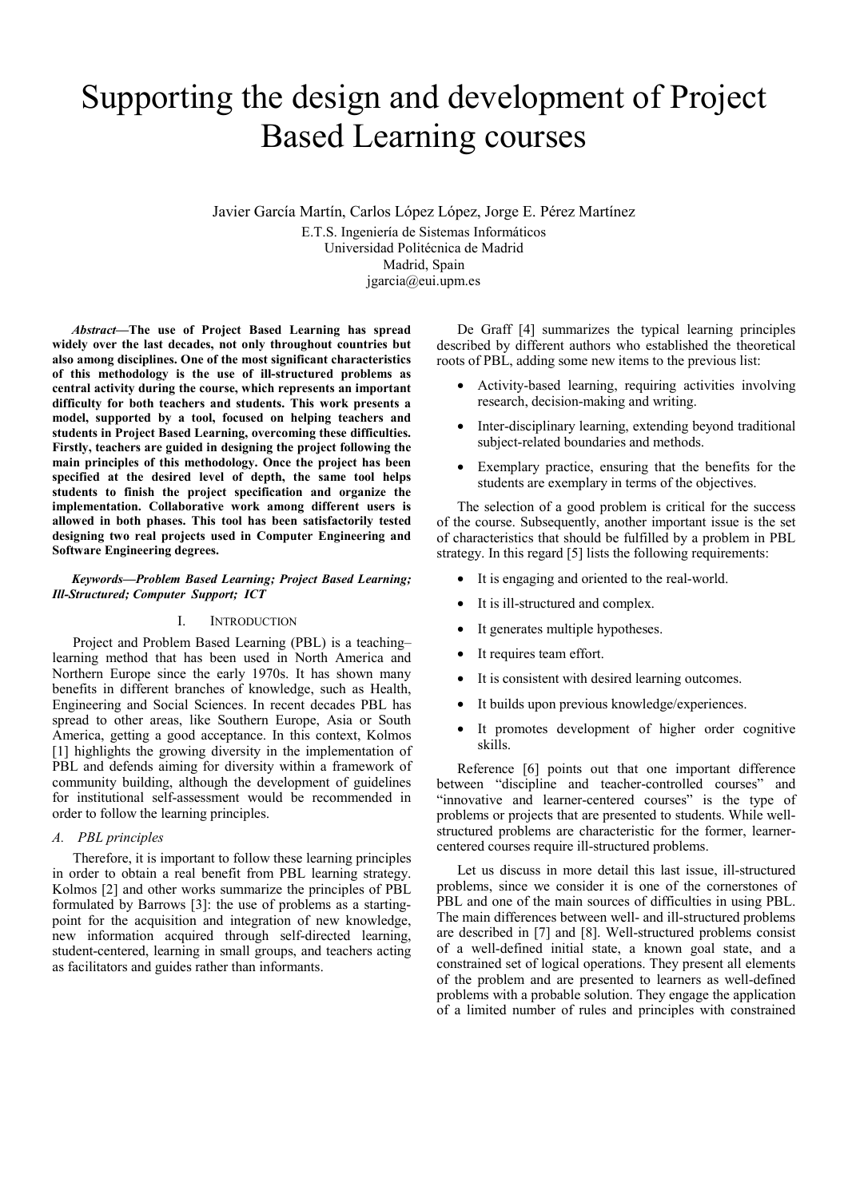# Supporting the design and development of Project Based Learning courses

Javier García Martín, Carlos López López, Jorge E. Pérez Martínez E.T.S. Ingeniería de Sistemas Informáticos Universidad Politécnica de Madrid Madrid, Spain jgarcia@eui.upm.es

*Abstract***—The use of Project Based Learning has spread widely over the last decades, not only throughout countries but also among disciplines. One of the most significant characteristics of this methodology is the use of ill-structured problems as central activity during the course, which represents an important difficulty for both teachers and students. This work presents a model, supported by a tool, focused on helping teachers and students in Project Based Learning, overcoming these difficulties. Firstly, teachers are guided in designing the project following the main principles of this methodology. Once the project has been specified at the desired level of depth, the same tool helps students to finish the project specification and organize the implementation. Collaborative work among different users is allowed in both phases. This tool has been satisfactorily tested designing two real projects used in Computer Engineering and Software Engineering degrees.** 

#### *Keywords—Problem Based Learning; Project Based Learning; Ill-Structured; Computer Support; ICT*

#### I. INTRODUCTION

Project and Problem Based Learning (PBL) is a teaching– learning method that has been used in North America and Northern Europe since the early 1970s. It has shown many benefits in different branches of knowledge, such as Health, Engineering and Social Sciences. In recent decades PBL has spread to other areas, like Southern Europe, Asia or South America, getting a good acceptance. In this context, Kolmos [1] highlights the growing diversity in the implementation of PBL and defends aiming for diversity within a framework of community building, although the development of guidelines for institutional self-assessment would be recommended in order to follow the learning principles.

## *A. PBL principles*

Therefore, it is important to follow these learning principles in order to obtain a real benefit from PBL learning strategy. Kolmos [2] and other works summarize the principles of PBL formulated by Barrows [3]: the use of problems as a startingpoint for the acquisition and integration of new knowledge, new information acquired through self-directed learning, student-centered, learning in small groups, and teachers acting as facilitators and guides rather than informants.

De Graff [4] summarizes the typical learning principles described by different authors who established the theoretical roots of PBL, adding some new items to the previous list:

- Activity-based learning, requiring activities involving research, decision-making and writing.
- Inter-disciplinary learning, extending beyond traditional subject-related boundaries and methods.
- Exemplary practice, ensuring that the benefits for the students are exemplary in terms of the objectives.

The selection of a good problem is critical for the success of the course. Subsequently, another important issue is the set of characteristics that should be fulfilled by a problem in PBL strategy. In this regard [5] lists the following requirements:

- It is engaging and oriented to the real-world.
- It is ill-structured and complex.
- It generates multiple hypotheses.
- It requires team effort.
- It is consistent with desired learning outcomes.
- It builds upon previous knowledge/experiences.
- It promotes development of higher order cognitive skills.

Reference [6] points out that one important difference between "discipline and teacher-controlled courses" and "innovative and learner-centered courses" is the type of problems or projects that are presented to students. While wellstructured problems are characteristic for the former, learnercentered courses require ill-structured problems.

Let us discuss in more detail this last issue, ill-structured problems, since we consider it is one of the cornerstones of PBL and one of the main sources of difficulties in using PBL. The main differences between well- and ill-structured problems are described in [7] and [8]. Well-structured problems consist of a well-defined initial state, a known goal state, and a constrained set of logical operations. They present all elements of the problem and are presented to learners as well-defined problems with a probable solution. They engage the application of a limited number of rules and principles with constrained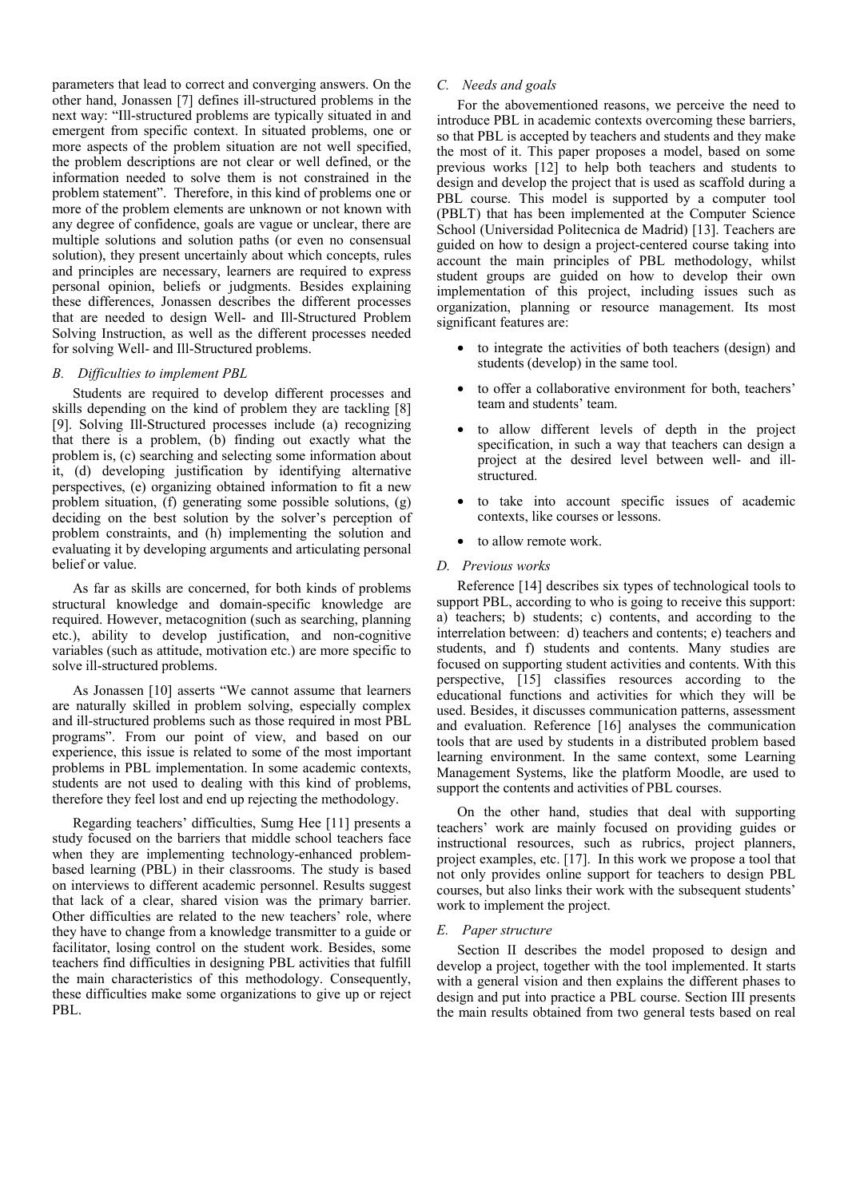parameters that lead to correct and converging answers. On the other hand, Jonassen [7] defines ill-structured problems in the next way: "Ill-structured problems are typically situated in and emergent from specific context. In situated problems, one or more aspects of the problem situation are not well specified, the problem descriptions are not clear or well defined, or the information needed to solve them is not constrained in the problem statement". Therefore, in this kind of problems one or more of the problem elements are unknown or not known with any degree of confidence, goals are vague or unclear, there are multiple solutions and solution paths (or even no consensual solution), they present uncertainly about which concepts, rules and principles are necessary, learners are required to express personal opinion, beliefs or judgments. Besides explaining these differences, Jonassen describes the different processes that are needed to design Well- and Ill-Structured Problem Solving Instruction, as well as the different processes needed for solving Well- and Ill-Structured problems.

# *B. Difficulties to implement PBL*

Students are required to develop different processes and skills depending on the kind of problem they are tackling [8] [9]. Solving Ill-Structured processes include (a) recognizing that there is a problem, (b) finding out exactly what the problem is, (c) searching and selecting some information about it, (d) developing justification by identifying alternative perspectives, (e) organizing obtained information to fit a new problem situation, (f) generating some possible solutions, (g) deciding on the best solution by the solver's perception of problem constraints, and (h) implementing the solution and evaluating it by developing arguments and articulating personal belief or value.

As far as skills are concerned, for both kinds of problems structural knowledge and domain-specific knowledge are required. However, metacognition (such as searching, planning etc.), ability to develop justification, and non-cognitive variables (such as attitude, motivation etc.) are more specific to solve ill-structured problems.

As Jonassen [10] asserts "We cannot assume that learners are naturally skilled in problem solving, especially complex and ill-structured problems such as those required in most PBL programs". From our point of view, and based on our experience, this issue is related to some of the most important problems in PBL implementation. In some academic contexts, students are not used to dealing with this kind of problems, therefore they feel lost and end up rejecting the methodology.

Regarding teachers' difficulties, Sumg Hee [11] presents a study focused on the barriers that middle school teachers face when they are implementing technology-enhanced problembased learning (PBL) in their classrooms. The study is based on interviews to different academic personnel. Results suggest that lack of a clear, shared vision was the primary barrier. Other difficulties are related to the new teachers' role, where they have to change from a knowledge transmitter to a guide or facilitator, losing control on the student work. Besides, some teachers find difficulties in designing PBL activities that fulfill the main characteristics of this methodology. Consequently, these difficulties make some organizations to give up or reject PBL.

# *C. Needs and goals*

For the abovementioned reasons, we perceive the need to introduce PBL in academic contexts overcoming these barriers, so that PBL is accepted by teachers and students and they make the most of it. This paper proposes a model, based on some previous works [12] to help both teachers and students to design and develop the project that is used as scaffold during a PBL course. This model is supported by a computer tool (PBLT) that has been implemented at the Computer Science School (Universidad Politecnica de Madrid) [13]. Teachers are guided on how to design a project-centered course taking into account the main principles of PBL methodology, whilst student groups are guided on how to develop their own implementation of this project, including issues such as organization, planning or resource management. Its most significant features are:

- to integrate the activities of both teachers (design) and students (develop) in the same tool.
- to offer a collaborative environment for both, teachers' team and students' team.
- to allow different levels of depth in the project specification, in such a way that teachers can design a project at the desired level between well- and illstructured.
- to take into account specific issues of academic contexts, like courses or lessons.
- to allow remote work.

# *D. Previous works*

Reference [14] describes six types of technological tools to support PBL, according to who is going to receive this support: a) teachers; b) students; c) contents, and according to the interrelation between: d) teachers and contents; e) teachers and students, and f) students and contents. Many studies are focused on supporting student activities and contents. With this perspective, [15] classifies resources according to the educational functions and activities for which they will be used. Besides, it discusses communication patterns, assessment and evaluation. Reference [16] analyses the communication tools that are used by students in a distributed problem based learning environment. In the same context, some Learning Management Systems, like the platform Moodle, are used to support the contents and activities of PBL courses.

On the other hand, studies that deal with supporting teachers' work are mainly focused on providing guides or instructional resources, such as rubrics, project planners, project examples, etc. [17]. In this work we propose a tool that not only provides online support for teachers to design PBL courses, but also links their work with the subsequent students' work to implement the project.

## *E. Paper structure*

Section II describes the model proposed to design and develop a project, together with the tool implemented. It starts with a general vision and then explains the different phases to design and put into practice a PBL course. Section III presents the main results obtained from two general tests based on real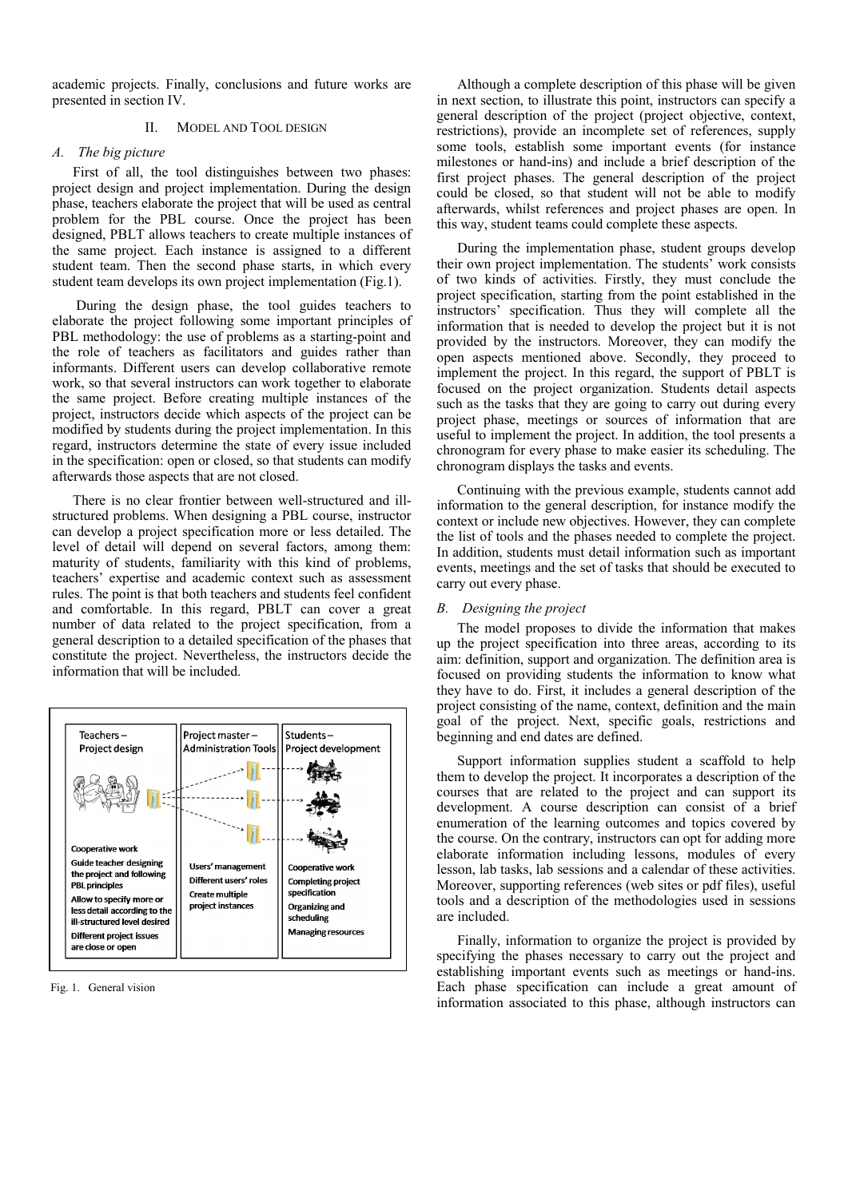academic projects. Finally, conclusions and future works are presented in section IV.

## II. MODEL AND TOOL DESIGN

## *A. The big picture*

First of all, the tool distinguishes between two phases: project design and project implementation. During the design phase, teachers elaborate the project that will be used as central problem for the PBL course. Once the project has been designed, PBLT allows teachers to create multiple instances of the same project. Each instance is assigned to a different student team. Then the second phase starts, in which every student team develops its own project implementation (Fig.1).

 During the design phase, the tool guides teachers to elaborate the project following some important principles of PBL methodology: the use of problems as a starting-point and the role of teachers as facilitators and guides rather than informants. Different users can develop collaborative remote work, so that several instructors can work together to elaborate the same project. Before creating multiple instances of the project, instructors decide which aspects of the project can be modified by students during the project implementation. In this regard, instructors determine the state of every issue included in the specification: open or closed, so that students can modify afterwards those aspects that are not closed.

There is no clear frontier between well-structured and illstructured problems. When designing a PBL course, instructor can develop a project specification more or less detailed. The level of detail will depend on several factors, among them: maturity of students, familiarity with this kind of problems, teachers' expertise and academic context such as assessment rules. The point is that both teachers and students feel confident and comfortable. In this regard, PBLT can cover a great number of data related to the project specification, from a general description to a detailed specification of the phases that constitute the project. Nevertheless, the instructors decide the information that will be included.



Fig. 1. General vision

Although a complete description of this phase will be given in next section, to illustrate this point, instructors can specify a general description of the project (project objective, context, restrictions), provide an incomplete set of references, supply some tools, establish some important events (for instance milestones or hand-ins) and include a brief description of the first project phases. The general description of the project could be closed, so that student will not be able to modify afterwards, whilst references and project phases are open. In this way, student teams could complete these aspects.

During the implementation phase, student groups develop their own project implementation. The students' work consists of two kinds of activities. Firstly, they must conclude the project specification, starting from the point established in the instructors' specification. Thus they will complete all the information that is needed to develop the project but it is not provided by the instructors. Moreover, they can modify the open aspects mentioned above. Secondly, they proceed to implement the project. In this regard, the support of PBLT is focused on the project organization. Students detail aspects such as the tasks that they are going to carry out during every project phase, meetings or sources of information that are useful to implement the project. In addition, the tool presents a chronogram for every phase to make easier its scheduling. The chronogram displays the tasks and events.

Continuing with the previous example, students cannot add information to the general description, for instance modify the context or include new objectives. However, they can complete the list of tools and the phases needed to complete the project. In addition, students must detail information such as important events, meetings and the set of tasks that should be executed to carry out every phase.

## *B. Designing the project*

The model proposes to divide the information that makes up the project specification into three areas, according to its aim: definition, support and organization. The definition area is focused on providing students the information to know what they have to do. First, it includes a general description of the project consisting of the name, context, definition and the main goal of the project. Next, specific goals, restrictions and beginning and end dates are defined.

Support information supplies student a scaffold to help them to develop the project. It incorporates a description of the courses that are related to the project and can support its development. A course description can consist of a brief enumeration of the learning outcomes and topics covered by the course. On the contrary, instructors can opt for adding more elaborate information including lessons, modules of every lesson, lab tasks, lab sessions and a calendar of these activities. Moreover, supporting references (web sites or pdf files), useful tools and a description of the methodologies used in sessions are included.

Finally, information to organize the project is provided by specifying the phases necessary to carry out the project and establishing important events such as meetings or hand-ins. Each phase specification can include a great amount of information associated to this phase, although instructors can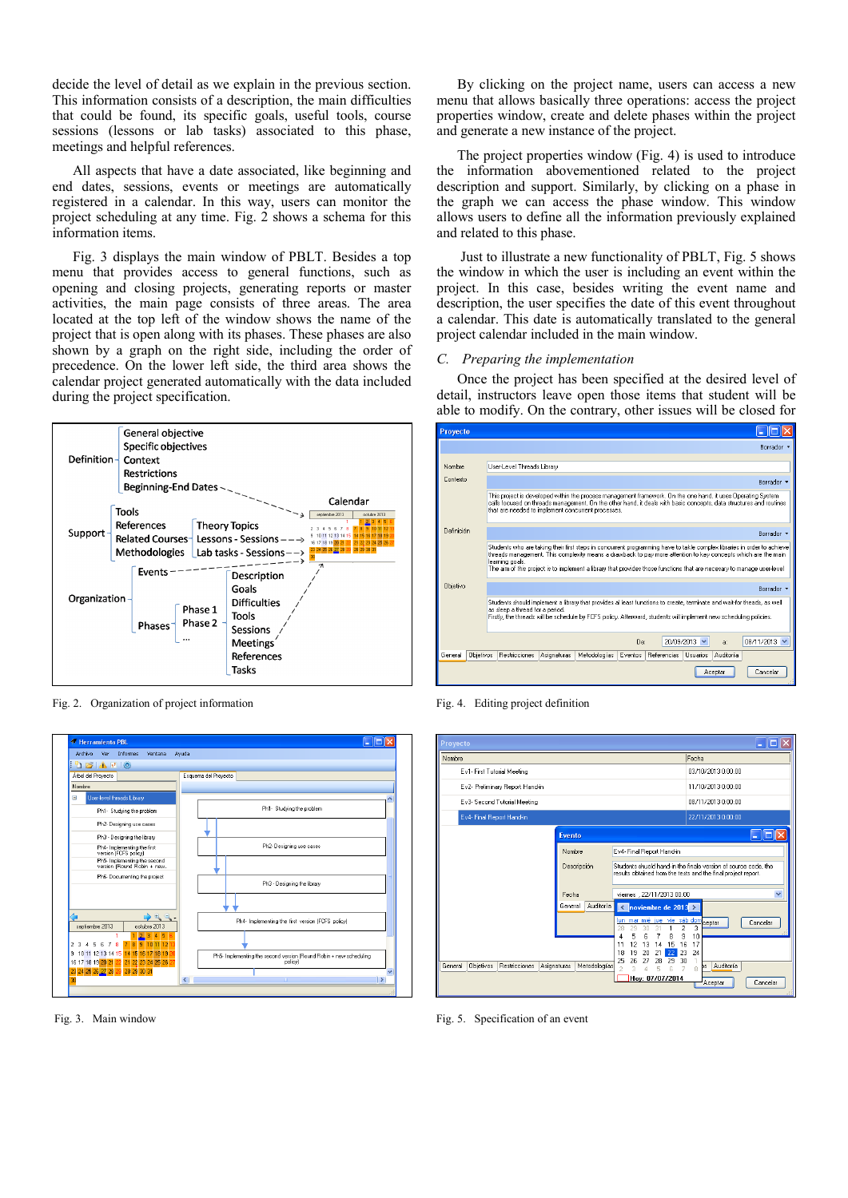decide the level of detail as we explain in the previous section. This information consists of a description, the main difficulties that could be found, its specific goals, useful tools, course sessions (lessons or lab tasks) associated to this phase, meetings and helpful references.

All aspects that have a date associated, like beginning and end dates, sessions, events or meetings are automatically registered in a calendar. In this way, users can monitor the project scheduling at any time. Fig. 2 shows a schema for this information items.

Fig. 3 displays the main window of PBLT. Besides a top menu that provides access to general functions, such as opening and closing projects, generating reports or master activities, the main page consists of three areas. The area located at the top left of the window shows the name of the project that is open along with its phases. These phases are also shown by a graph on the right side, including the order of precedence. On the lower left side, the third area shows the calendar project generated automatically with the data included during the project specification.



Fig. 2. Organization of project information



Fig. 3. Main window

By clicking on the project name, users can access a new menu that allows basically three operations: access the project properties window, create and delete phases within the project and generate a new instance of the project.

The project properties window (Fig. 4) is used to introduce the information abovementioned related to the project description and support. Similarly, by clicking on a phase in the graph we can access the phase window. This window allows users to define all the information previously explained and related to this phase.

 Just to illustrate a new functionality of PBLT, Fig. 5 shows the window in which the user is including an event within the project. In this case, besides writing the event name and description, the user specifies the date of this event throughout a calendar. This date is automatically translated to the general project calendar included in the main window.

#### *C. Preparing the implementation*

Once the project has been specified at the desired level of detail, instructors leave open those items that student will be able to modify. On the contrary, other issues will be closed for

| <b>Proyecto</b> |           |                                                                                                                                                                                                                                                                                                                                                                                       |               |             |              |         |             |            |                 |           |                            |
|-----------------|-----------|---------------------------------------------------------------------------------------------------------------------------------------------------------------------------------------------------------------------------------------------------------------------------------------------------------------------------------------------------------------------------------------|---------------|-------------|--------------|---------|-------------|------------|-----------------|-----------|----------------------------|
|                 |           |                                                                                                                                                                                                                                                                                                                                                                                       |               |             |              |         |             |            |                 |           | Borrador                   |
|                 |           |                                                                                                                                                                                                                                                                                                                                                                                       |               |             |              |         |             |            |                 |           |                            |
| <b>Nombre</b>   |           | User-Level Threads Library                                                                                                                                                                                                                                                                                                                                                            |               |             |              |         |             |            |                 |           |                            |
| Contexto        |           |                                                                                                                                                                                                                                                                                                                                                                                       |               |             |              |         |             |            |                 |           | Borrador *                 |
|                 |           | This project is developed within the process management framework. On the one hand, it uses Operating System<br>calls focused on threads management. On the other hand, it deals with basic concepts, data structures and routines<br>that are needed to implement concurrent processes.                                                                                              |               |             |              |         |             |            |                 |           |                            |
| Definición      |           |                                                                                                                                                                                                                                                                                                                                                                                       |               |             |              |         |             |            |                 |           | Borrador *                 |
|                 |           | Students who are taking their first steps in concurrent programming have to takle complex libraries in order to achieve<br>threads management. This complexity means a drawback to pay more attention to key concepts which are the main<br>learning goals.<br>The aim of this project is to implement a library that provides those functions that are necesary to manage user-level |               |             |              |         |             |            |                 |           |                            |
| Objetivo        |           |                                                                                                                                                                                                                                                                                                                                                                                       |               |             |              |         |             |            |                 |           | Borrador -                 |
|                 |           | Students should implement a library that provides al least functions to create, terminate and wait-for theads, as well<br>as sleep a thread for a period.<br>Firstly, the threads will be schedule by FCFS policy. Afterward, students will implement new scheduling policies,                                                                                                        |               |             |              |         |             |            |                 |           |                            |
|                 |           |                                                                                                                                                                                                                                                                                                                                                                                       |               |             |              | De:     |             | 20/09/2013 |                 | a:        | 08/11/2013<br>$\checkmark$ |
| General         | Objetivos |                                                                                                                                                                                                                                                                                                                                                                                       | Restricciones | Asignaturas | Metodologías | Eventos | Referencias |            | <b>Usuarios</b> | Auditoría |                            |
|                 |           |                                                                                                                                                                                                                                                                                                                                                                                       |               |             |              |         |             |            |                 | Acepta    | Cancelar                   |

Fig. 4. Editing project definition



Fig. 5. Specification of an event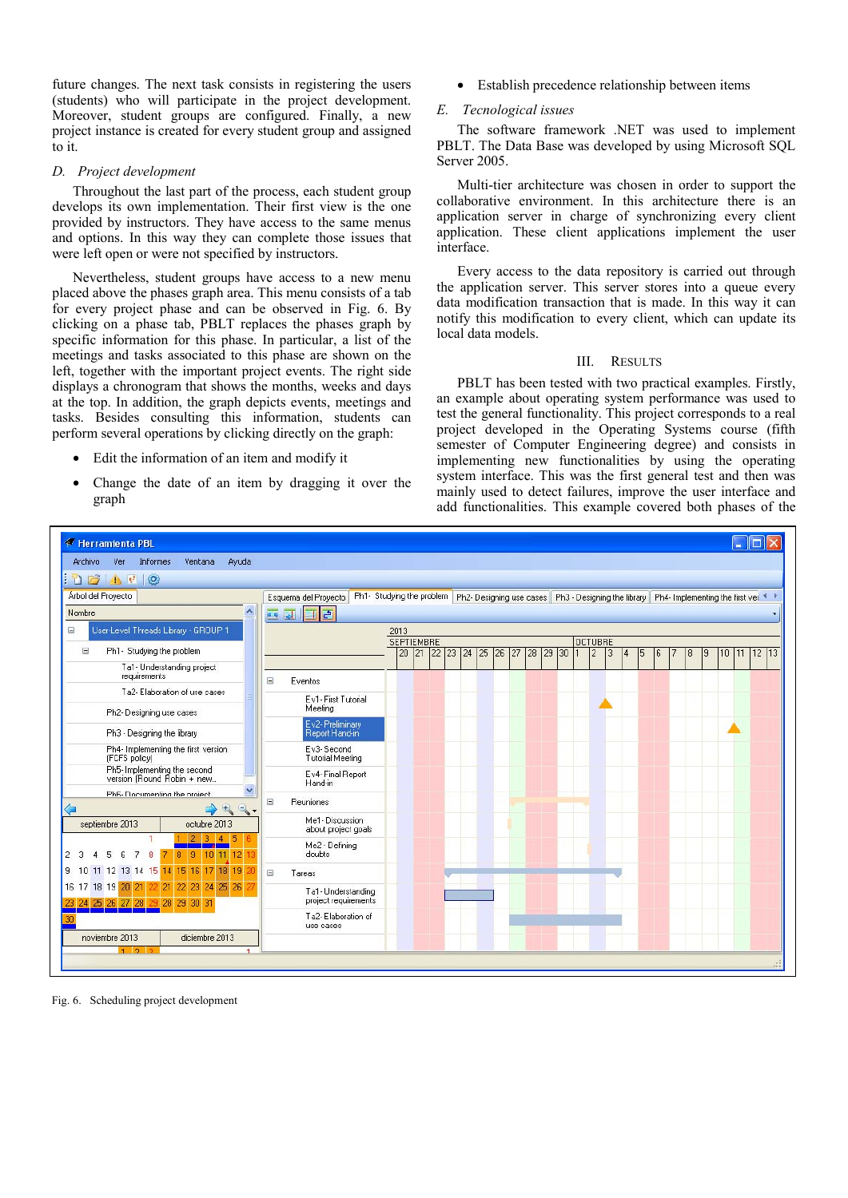future changes. The next task consists in registering the users (students) who will participate in the project development. Moreover, student groups are configured. Finally, a new project instance is created for every student group and assigned to it.

## *D. Project development*

Throughout the last part of the process, each student group develops its own implementation. Their first view is the one provided by instructors. They have access to the same menus and options. In this way they can complete those issues that were left open or were not specified by instructors.

Nevertheless, student groups have access to a new menu placed above the phases graph area. This menu consists of a tab for every project phase and can be observed in Fig. 6. By clicking on a phase tab, PBLT replaces the phases graph by specific information for this phase. In particular, a list of the meetings and tasks associated to this phase are shown on the left, together with the important project events. The right side displays a chronogram that shows the months, weeks and days at the top. In addition, the graph depicts events, meetings and tasks. Besides consulting this information, students can perform several operations by clicking directly on the graph:

- Edit the information of an item and modify it
- Change the date of an item by dragging it over the graph

• Establish precedence relationship between items

#### *E. Tecnological issues*

The software framework .NET was used to implement PBLT. The Data Base was developed by using Microsoft SQL Server 2005.

Multi-tier architecture was chosen in order to support the collaborative environment. In this architecture there is an application server in charge of synchronizing every client application. These client applications implement the user interface.

Every access to the data repository is carried out through the application server. This server stores into a queue every data modification transaction that is made. In this way it can notify this modification to every client, which can update its local data models.

#### III. RESULTS

PBLT has been tested with two practical examples. Firstly, an example about operating system performance was used to test the general functionality. This project corresponds to a real project developed in the Operating Systems course (fifth semester of Computer Engineering degree) and consists in implementing new functionalities by using the operating system interface. This was the first general test and then was mainly used to detect failures, improve the user interface and add functionalities. This example covered both phases of the



Fig. 6. Scheduling project development